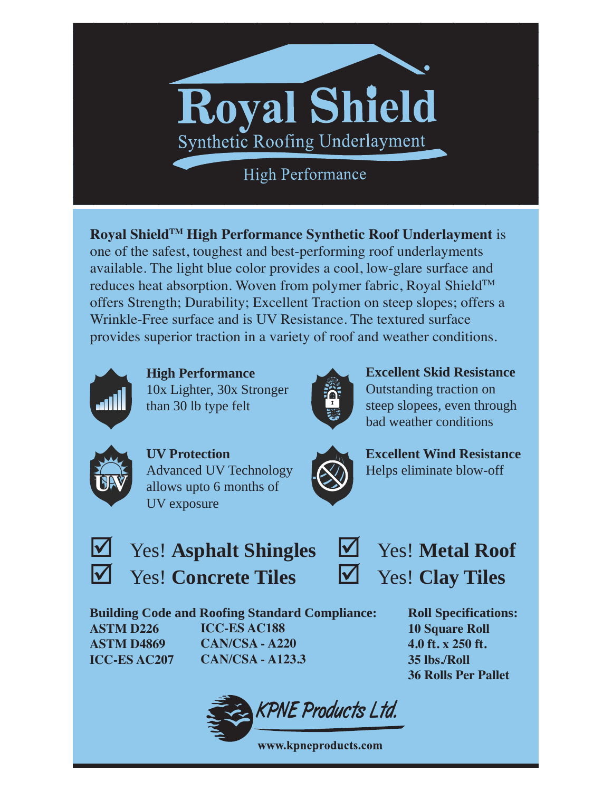## **Royal Shield** Synthetic Roofing Underlayment

**High Performance** 

**Royal ShieldTM High Performance Synthetic Roof Underlayment** is one of the safest, toughest and best-performing roof underlayments available. The light blue color provides a cool, low-glare surface and reduces heat absorption. Woven from polymer fabric, Royal Shield™ offers Strength; Durability; Excellent Traction on steep slopes; offers a Wrinkle-Free surface and is UV Resistance. The textured surface provides superior traction in a variety of roof and weather conditions.



**High Performance** 10x Lighter, 30x Stronger than 30 lb type felt



**Excellent Skid Resistance** Outstanding traction on steep slopees, even through bad weather conditions



**UV Protection** Advanced UV Technology allows upto 6 months of UV exposure



**Excellent Wind Resistance** Helps eliminate blow-off



; Yes! **Asphalt Shingles** ; Yes! **Concrete Tiles**

; Yes! **Metal Roof** ; Yes! **Clay Tiles**

**Building Code and Roofing Standard Compliance: ASTM D226 ASTM D4869 ICC-ES AC207 ICC-ES AC188 CAN/CSA - A220 CAN/CSA - A123.3**

**Roll Specifications: 10 Square Roll 4.0 ft. x 250 ft. 35 lbs./Roll 36 Rolls Per Pallet**